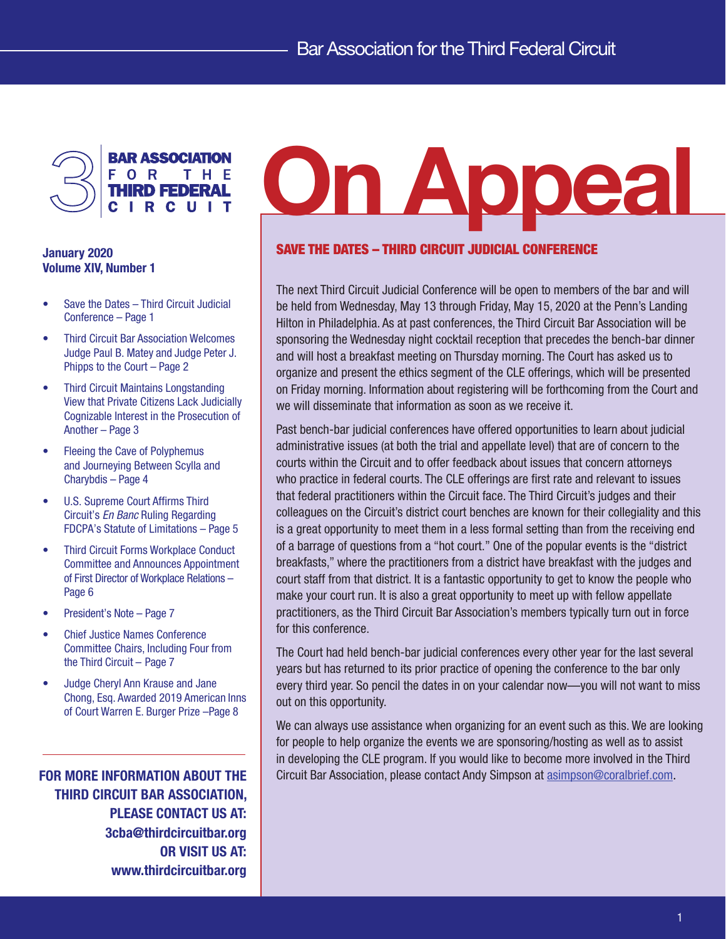

# January 2020 Volume XIV, Number 1

- Save the Dates Third Circuit Judicial Conference – Page 1
- • [Third Circuit Bar Association Welcomes](#page-1-0) [Judge Paul B. Matey and Judge Peter J.](#page-1-0) [Phipps to the Court – Page 2](#page-1-0)
- • [Third Circuit Maintains Longstanding](#page-2-0) [View that Private Citizens Lack Judicially](#page-2-0) [Cognizable Interest in the Prosecution of](#page-2-0) [Another – Page 3](#page-2-0)
- • [Fleeing the Cave of Polyphemus](#page-3-0) [and Journeying Between Scylla and](#page-3-0) [Charybdis – Page 4](#page-3-0)
- U.S. [Supreme Court Affirms Third](#page-4-0) Circuit's *En Banc* [Ruling Regarding](#page-4-0) FDCPA's [Statute of Limitations](#page-4-0) – Page 5
- • [Third Circuit Forms Workplace Conduct](#page-5-0) [Committee and Announces Appointment](#page-5-0) of First Director of [Workplace Relations –](#page-5-0) [Page 6](#page-5-0)
- [President's Note Page 7](#page-6-0)
- • [Chief Justice Names Conference](#page-6-0) [Committee Chairs, Including Four from](#page-6-0) [the Third Circuit – Page 7](#page-6-0)
- • [Judge Cheryl Ann Krause and Jane](#page-7-0) [Chong, Esq. Awarded 2019 American](#page-7-0) Inns [of Court Warren E. Burger Prize –Page](#page-7-0) 8

FOR MORE INFORMATION ABOUT THE THIRD CIRCUIT BAR ASSOCIATION, PLEASE CONTACT US AT: 3cba@thirdcircuitbar.org OR VISIT US AT: www.thirdcircuitbar.org

# n Appeal

# SAVE THE DATES – THIRD CIRCUIT JUDICIAL CONFERENCE

The next Third Circuit Judicial Conference will be open to members of the bar and will be held from Wednesday, May 13 through Friday, May 15, 2020 at the Penn's Landing Hilton in Philadelphia. As at past conferences, the Third Circuit Bar Association will be sponsoring the Wednesday night cocktail reception that precedes the bench-bar dinner and will host a breakfast meeting on Thursday morning. The Court has asked us to organize and present the ethics segment of the CLE offerings, which will be presented on Friday morning. Information about registering will be forthcoming from the Court and we will disseminate that information as soon as we receive it.

Past bench-bar judicial conferences have offered opportunities to learn about judicial administrative issues (at both the trial and appellate level) that are of concern to the courts within the Circuit and to offer feedback about issues that concern attorneys who practice in federal courts. The CLE offerings are first rate and relevant to issues that federal practitioners within the Circuit face. The Third Circuit's judges and their colleagues on the Circuit's district court benches are known for their collegiality and this is a great opportunity to meet them in a less formal setting than from the receiving end of a barrage of questions from a "hot court." One of the popular events is the "district breakfasts," where the practitioners from a district have breakfast with the judges and court staff from that district. It is a fantastic opportunity to get to know the people who make your court run. It is also a great opportunity to meet up with fellow appellate practitioners, as the Third Circuit Bar Association's members typically turn out in force for this conference.

The Court had held bench-bar judicial conferences every other year for the last several years but has returned to its prior practice of opening the conference to the bar only every third year. So pencil the dates in on your calendar now—you will not want to miss out on this opportunity.

We can always use assistance when organizing for an event such as this. We are looking for people to help organize the events we are sponsoring/hosting as well as to assist in developing the CLE program. If you would like to become more involved in the Third Circuit Bar Association, please contact Andy Simpson at [asimpson@coralbrief.com.](mailto:asimpson%40coralbrief.com?subject=)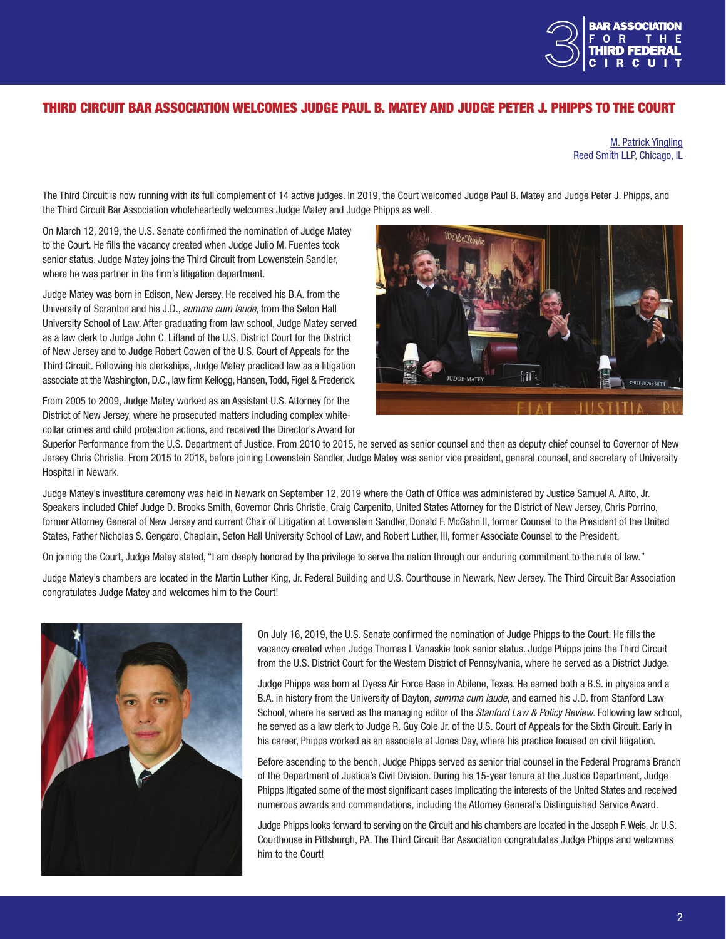

# <span id="page-1-0"></span>THIRD CIRCUIT BAR ASSOCIATION WELCOMES JUDGE PAUL B. MATEY AND JUDGE PETER J. PHIPPS TO THE COURT

[M. Patrick Yingling](https://www.reedsmith.com/en/professionals/y/yingling-m-patrick) Reed Smith LLP, Chicago, IL

The Third Circuit is now running with its full complement of 14 active judges. In 2019, the Court welcomed Judge Paul B. Matey and Judge Peter J. Phipps, and the Third Circuit Bar Association wholeheartedly welcomes Judge Matey and Judge Phipps as well.

On March 12, 2019, the U.S. Senate confirmed the nomination of Judge Matey to the Court. He fills the vacancy created when Judge Julio M. Fuentes took senior status. Judge Matey joins the Third Circuit from Lowenstein Sandler, where he was partner in the firm's litigation department.

Judge Matey was born in Edison, New Jersey. He received his B.A. from the University of Scranton and his J.D., *summa cum laude*, from the Seton Hall University School of Law. After graduating from law school, Judge Matey served as a law clerk to Judge John C. Lifland of the U.S. District Court for the District of New Jersey and to Judge Robert Cowen of the U.S. Court of Appeals for the Third Circuit. Following his clerkships, Judge Matey practiced law as a litigation associate at the Washington, D.C., law firm Kellogg, Hansen, Todd, Figel & Frederick.

From 2005 to 2009, Judge Matey worked as an Assistant U.S. Attorney for the District of New Jersey, where he prosecuted matters including complex whitecollar crimes and child protection actions, and received the Director's Award for



Superior Performance from the U.S. Department of Justice. From 2010 to 2015, he served as senior counsel and then as deputy chief counsel to Governor of New Jersey Chris Christie. From 2015 to 2018, before joining Lowenstein Sandler, Judge Matey was senior vice president, general counsel, and secretary of University Hospital in Newark.

Judge Matey's investiture ceremony was held in Newark on September 12, 2019 where the Oath of Office was administered by Justice Samuel A. Alito, Jr. Speakers included Chief Judge D. Brooks Smith, Governor Chris Christie, Craig Carpenito, United States Attorney for the District of New Jersey, Chris Porrino, former Attorney General of New Jersey and current Chair of Litigation at Lowenstein Sandler, Donald F. McGahn II, former Counsel to the President of the United States, Father Nicholas S. Gengaro, Chaplain, Seton Hall University School of Law, and Robert Luther, III, former Associate Counsel to the President.

On joining the Court, Judge Matey stated, "I am deeply honored by the privilege to serve the nation through our enduring commitment to the rule of law."

Judge Matey's chambers are located in the Martin Luther King, Jr. Federal Building and U.S. Courthouse in Newark, New Jersey. The Third Circuit Bar Association congratulates Judge Matey and welcomes him to the Court!



On July 16, 2019, the U.S. Senate confirmed the nomination of Judge Phipps to the Court. He fills the vacancy created when Judge Thomas I. Vanaskie took senior status. Judge Phipps joins the Third Circuit from the U.S. District Court for the Western District of Pennsylvania, where he served as a District Judge.

Judge Phipps was born at Dyess Air Force Base in Abilene, Texas. He earned both a B.S. in physics and a B.A. in history from the University of Dayton, *summa cum laude*, and earned his J.D. from Stanford Law School, where he served as the managing editor of the *Stanford Law & Policy Review*. Following law school, he served as a law clerk to Judge R. Guy Cole Jr. of the U.S. Court of Appeals for the Sixth Circuit. Early in his career, Phipps worked as an associate at Jones Day, where his practice focused on civil litigation.

Before ascending to the bench, Judge Phipps served as senior trial counsel in the Federal Programs Branch of the Department of Justice's Civil Division. During his 15-year tenure at the Justice Department, Judge Phipps litigated some of the most significant cases implicating the interests of the United States and received numerous awards and commendations, including the Attorney General's Distinguished Service Award.

Judge Phipps looks forward to serving on the Circuit and his chambers are located in the Joseph F. Weis, Jr. U.S. Courthouse in Pittsburgh, PA. The Third Circuit Bar Association congratulates Judge Phipps and welcomes him to the Court!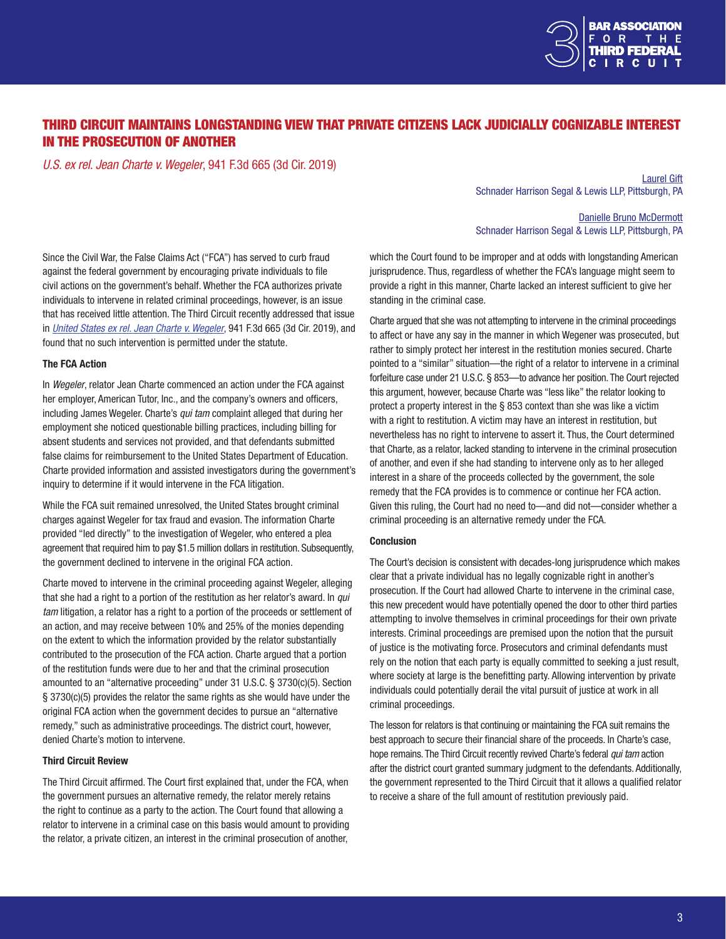

# <span id="page-2-0"></span>THIRD CIRCUIT MAINTAINS LONGSTANDING VIEW THAT PRIVATE CITIZENS LACK JUDICIALLY COGNIZABLE INTEREST IN THE PROSECUTION OF ANOTHER

*U.S. ex rel. Jean Charte v. Wegeler*, 941 F.3d 665 (3d Cir. 2019)

[Laurel Gift](https://www.schnader.com/attorneys/laurel-gift/) Schnader Harrison Segal & Lewis LLP, Pittsburgh, PA

[Danielle Bruno McDermott](https://www.schnader.com/attorneys/danielle-bruno-mcdermott/) Schnader Harrison Segal & Lewis LLP, Pittsburgh, PA

Since the Civil War, the False Claims Act ("FCA") has served to curb fraud against the federal government by encouraging private individuals to file civil actions on the government's behalf. Whether the FCA authorizes private individuals to intervene in related criminal proceedings, however, is an issue that has received little attention. The Third Circuit recently addressed that issue in *[United States ex rel. Jean Charte v. Wegeler](http://www2.ca3.uscourts.gov/opinarch/171717p.pdf)*, 941 F.3d 665 (3d Cir. 2019), and found that no such intervention is permitted under the statute.

#### The FCA Action

In *Wegeler*, relator Jean Charte commenced an action under the FCA against her employer, American Tutor, Inc., and the company's owners and officers, including James Wegeler. Charte's *qui tam* complaint alleged that during her employment she noticed questionable billing practices, including billing for absent students and services not provided, and that defendants submitted false claims for reimbursement to the United States Department of Education. Charte provided information and assisted investigators during the government's inquiry to determine if it would intervene in the FCA litigation.

While the FCA suit remained unresolved, the United States brought criminal charges against Wegeler for tax fraud and evasion. The information Charte provided "led directly" to the investigation of Wegeler, who entered a plea agreement that required him to pay \$1.5 million dollars in restitution. Subsequently, the government declined to intervene in the original FCA action.

Charte moved to intervene in the criminal proceeding against Wegeler, alleging that she had a right to a portion of the restitution as her relator's award. In *qui tam* litigation, a relator has a right to a portion of the proceeds or settlement of an action, and may receive between 10% and 25% of the monies depending on the extent to which the information provided by the relator substantially contributed to the prosecution of the FCA action. Charte argued that a portion of the restitution funds were due to her and that the criminal prosecution amounted to an "alternative proceeding" under 31 U.S.C. § 3730(c)(5). Section § 3730(c)(5) provides the relator the same rights as she would have under the original FCA action when the government decides to pursue an "alternative remedy," such as administrative proceedings. The district court, however, denied Charte's motion to intervene.

#### Third Circuit Review

The Third Circuit affirmed. The Court first explained that, under the FCA, when the government pursues an alternative remedy, the relator merely retains the right to continue as a party to the action. The Court found that allowing a relator to intervene in a criminal case on this basis would amount to providing the relator, a private citizen, an interest in the criminal prosecution of another,

which the Court found to be improper and at odds with longstanding American jurisprudence. Thus, regardless of whether the FCA's language might seem to provide a right in this manner, Charte lacked an interest sufficient to give her standing in the criminal case.

Charte argued that she was not attempting to intervene in the criminal proceedings to affect or have any say in the manner in which Wegener was prosecuted, but rather to simply protect her interest in the restitution monies secured. Charte pointed to a "similar" situation—the right of a relator to intervene in a criminal forfeiture case under 21 U.S.C. § 853—to advance her position. The Court rejected this argument, however, because Charte was "less like" the relator looking to protect a property interest in the § 853 context than she was like a victim with a right to restitution. A victim may have an interest in restitution, but nevertheless has no right to intervene to assert it. Thus, the Court determined that Charte, as a relator, lacked standing to intervene in the criminal prosecution of another, and even if she had standing to intervene only as to her alleged interest in a share of the proceeds collected by the government, the sole remedy that the FCA provides is to commence or continue her FCA action. Given this ruling, the Court had no need to—and did not—consider whether a criminal proceeding is an alternative remedy under the FCA.

#### **Conclusion**

The Court's decision is consistent with decades-long jurisprudence which makes clear that a private individual has no legally cognizable right in another's prosecution. If the Court had allowed Charte to intervene in the criminal case, this new precedent would have potentially opened the door to other third parties attempting to involve themselves in criminal proceedings for their own private interests. Criminal proceedings are premised upon the notion that the pursuit of justice is the motivating force. Prosecutors and criminal defendants must rely on the notion that each party is equally committed to seeking a just result, where society at large is the benefitting party. Allowing intervention by private individuals could potentially derail the vital pursuit of justice at work in all criminal proceedings.

The lesson for relators is that continuing or maintaining the FCA suit remains the best approach to secure their financial share of the proceeds. In Charte's case, hope remains. The Third Circuit recently revived Charte's federal *qui tam* action after the district court granted summary judgment to the defendants. Additionally, the government represented to the Third Circuit that it allows a qualified relator to receive a share of the full amount of restitution previously paid.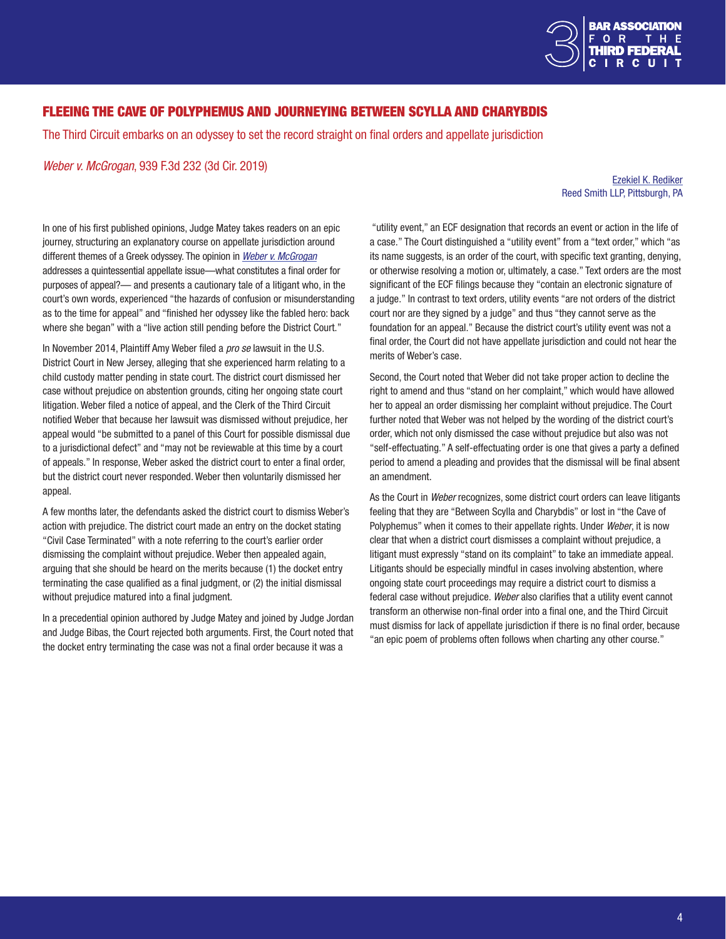

# <span id="page-3-0"></span>FLEEING THE CAVE OF POLYPHEMUS AND JOURNEYING BETWEEN SCYLLA AND CHARYBDIS

The Third Circuit embarks on an odyssey to set the record straight on final orders and appellate jurisdiction

#### *Weber v. McGrogan*, 939 F.3d 232 (3d Cir. 2019)

#### [Ezekiel K. Rediker](https://www.reedsmith.com/en/professionals/r/rediker-ezekiel-k) Reed Smith LLP, Pittsburgh, PA

In one of his first published opinions, Judge Matey takes readers on an epic journey, structuring an explanatory course on appellate jurisdiction around different themes of a Greek odyssey. The opinion in *[Weber v. McGrogan](http://www2.ca3.uscourts.gov/opinarch/164379p.pdf)* addresses a quintessential appellate issue—what constitutes a final order for purposes of appeal?— and presents a cautionary tale of a litigant who, in the court's own words, experienced "the hazards of confusion or misunderstanding as to the time for appeal" and "finished her odyssey like the fabled hero: back where she began" with a "live action still pending before the District Court."

In November 2014, Plaintiff Amy Weber filed a *pro se* lawsuit in the U.S. District Court in New Jersey, alleging that she experienced harm relating to a child custody matter pending in state court. The district court dismissed her case without prejudice on abstention grounds, citing her ongoing state court litigation. Weber filed a notice of appeal, and the Clerk of the Third Circuit notified Weber that because her lawsuit was dismissed without prejudice, her appeal would "be submitted to a panel of this Court for possible dismissal due to a jurisdictional defect" and "may not be reviewable at this time by a court of appeals." In response, Weber asked the district court to enter a final order, but the district court never responded. Weber then voluntarily dismissed her appeal.

A few months later, the defendants asked the district court to dismiss Weber's action with prejudice. The district court made an entry on the docket stating "Civil Case Terminated" with a note referring to the court's earlier order dismissing the complaint without prejudice. Weber then appealed again, arguing that she should be heard on the merits because (1) the docket entry terminating the case qualified as a final judgment, or (2) the initial dismissal without prejudice matured into a final judgment.

In a precedential opinion authored by Judge Matey and joined by Judge Jordan and Judge Bibas, the Court rejected both arguments. First, the Court noted that the docket entry terminating the case was not a final order because it was a

 "utility event," an ECF designation that records an event or action in the life of a case." The Court distinguished a "utility event" from a "text order," which "as its name suggests, is an order of the court, with specific text granting, denying, or otherwise resolving a motion or, ultimately, a case." Text orders are the most significant of the ECF filings because they "contain an electronic signature of a judge." In contrast to text orders, utility events "are not orders of the district court nor are they signed by a judge" and thus "they cannot serve as the foundation for an appeal." Because the district court's utility event was not a final order, the Court did not have appellate jurisdiction and could not hear the merits of Weber's case.

Second, the Court noted that Weber did not take proper action to decline the right to amend and thus "stand on her complaint," which would have allowed her to appeal an order dismissing her complaint without prejudice. The Court further noted that Weber was not helped by the wording of the district court's order, which not only dismissed the case without prejudice but also was not "self-effectuating." A self-effectuating order is one that gives a party a defined period to amend a pleading and provides that the dismissal will be final absent an amendment.

As the Court in *Weber* recognizes, some district court orders can leave litigants feeling that they are "Between Scylla and Charybdis" or lost in "the Cave of Polyphemus" when it comes to their appellate rights. Under *Weber*, it is now clear that when a district court dismisses a complaint without prejudice, a litigant must expressly "stand on its complaint" to take an immediate appeal. Litigants should be especially mindful in cases involving abstention, where ongoing state court proceedings may require a district court to dismiss a federal case without prejudice. *Weber* also clarifies that a utility event cannot transform an otherwise non-final order into a final one, and the Third Circuit must dismiss for lack of appellate jurisdiction if there is no final order, because "an epic poem of problems often follows when charting any other course."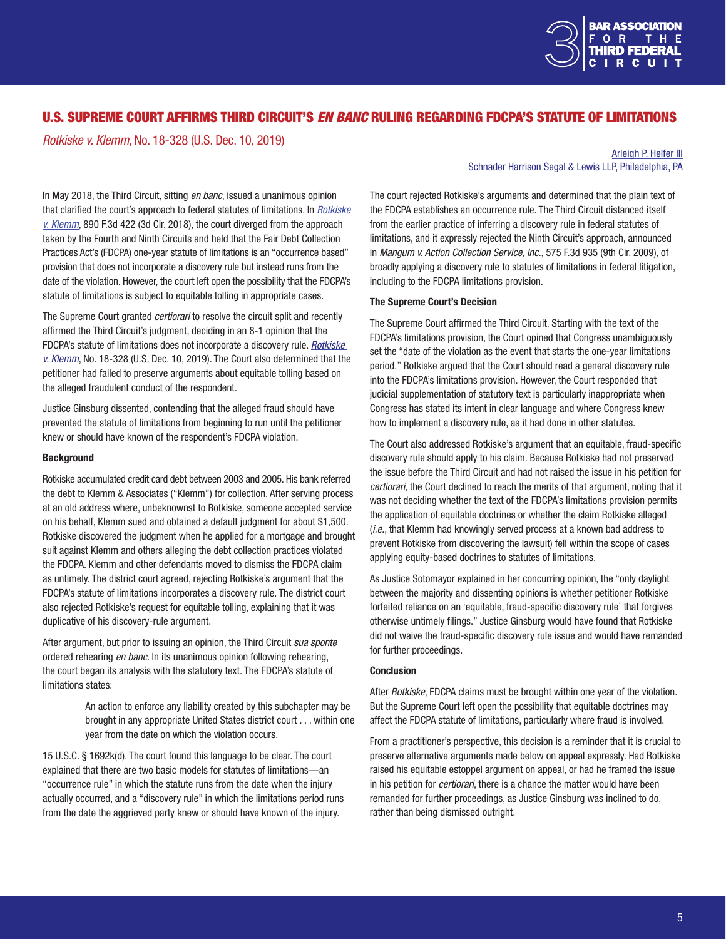

# <span id="page-4-0"></span>U.S. SUPREME COURT AFFIRMS THIRD CIRCUIT'S *EN BANC* RULING REGARDING FDCPA'S STATUTE OF LIMITATIONS

*Rotkiske v. Klemm*, No. 18-328 (U.S. Dec. 10, 2019)

#### [Arleigh P. Helfer III](https://www.schnader.com/attorneys/arleigh-p-helfer/) Schnader Harrison Segal & Lewis LLP, Philadelphia, PA

In May 2018, the Third Circuit, sitting *en banc*, issued a unanimous opinion that clarified the court's approach to federal statutes of limitations. In *[Rotkiske](http://www2.ca3.uscourts.gov/opinarch/161668p.pdf)  [v. Klemm](http://www2.ca3.uscourts.gov/opinarch/161668p.pdf)*, 890 F.3d 422 (3d Cir. 2018), the court diverged from the approach taken by the Fourth and Ninth Circuits and held that the Fair Debt Collection Practices Act's (FDCPA) one-year statute of limitations is an "occurrence based" provision that does not incorporate a discovery rule but instead runs from the date of the violation. However, the court left open the possibility that the FDCPA's statute of limitations is subject to equitable tolling in appropriate cases.

The Supreme Court granted *certiorari* to resolve the circuit split and recently affirmed the Third Circuit's judgment, deciding in an 8-1 opinion that the FDCPA's statute of limitations does not incorporate a discovery rule. *[Rotkiske](https://www.supremecourt.gov/opinions/19pdf/18-328_pm02.pdf)  [v. Klemm](https://www.supremecourt.gov/opinions/19pdf/18-328_pm02.pdf)*, No. 18-328 (U.S. Dec. 10, 2019). The Court also determined that the petitioner had failed to preserve arguments about equitable tolling based on the alleged fraudulent conduct of the respondent.

Justice Ginsburg dissented, contending that the alleged fraud should have prevented the statute of limitations from beginning to run until the petitioner knew or should have known of the respondent's FDCPA violation.

#### **Background**

Rotkiske accumulated credit card debt between 2003 and 2005. His bank referred the debt to Klemm & Associates ("Klemm") for collection. After serving process at an old address where, unbeknownst to Rotkiske, someone accepted service on his behalf, Klemm sued and obtained a default judgment for about \$1,500. Rotkiske discovered the judgment when he applied for a mortgage and brought suit against Klemm and others alleging the debt collection practices violated the FDCPA. Klemm and other defendants moved to dismiss the FDCPA claim as untimely. The district court agreed, rejecting Rotkiske's argument that the FDCPA's statute of limitations incorporates a discovery rule. The district court also rejected Rotkiske's request for equitable tolling, explaining that it was duplicative of his discovery-rule argument.

After argument, but prior to issuing an opinion, the Third Circuit *sua sponte* ordered rehearing *en banc*. In its unanimous opinion following rehearing, the court began its analysis with the statutory text. The FDCPA's statute of limitations states:

> An action to enforce any liability created by this subchapter may be brought in any appropriate United States district court . . . within one year from the date on which the violation occurs.

15 U.S.C. § 1692k(d). The court found this language to be clear. The court explained that there are two basic models for statutes of limitations—an "occurrence rule" in which the statute runs from the date when the injury actually occurred, and a "discovery rule" in which the limitations period runs from the date the aggrieved party knew or should have known of the injury.

The court rejected Rotkiske's arguments and determined that the plain text of the FDCPA establishes an occurrence rule. The Third Circuit distanced itself from the earlier practice of inferring a discovery rule in federal statutes of limitations, and it expressly rejected the Ninth Circuit's approach, announced in *Mangum v. Action Collection Service, Inc.*, 575 F.3d 935 (9th Cir. 2009), of broadly applying a discovery rule to statutes of limitations in federal litigation, including to the FDCPA limitations provision.

#### The Supreme Court's Decision

The Supreme Court affirmed the Third Circuit. Starting with the text of the FDCPA's limitations provision, the Court opined that Congress unambiguously set the "date of the violation as the event that starts the one-year limitations period." Rotkiske argued that the Court should read a general discovery rule into the FDCPA's limitations provision. However, the Court responded that judicial supplementation of statutory text is particularly inappropriate when Congress has stated its intent in clear language and where Congress knew how to implement a discovery rule, as it had done in other statutes.

The Court also addressed Rotkiske's argument that an equitable, fraud-specific discovery rule should apply to his claim. Because Rotkiske had not preserved the issue before the Third Circuit and had not raised the issue in his petition for *certiorari*, the Court declined to reach the merits of that argument, noting that it was not deciding whether the text of the FDCPA's limitations provision permits the application of equitable doctrines or whether the claim Rotkiske alleged (*i.e.*, that Klemm had knowingly served process at a known bad address to prevent Rotkiske from discovering the lawsuit) fell within the scope of cases applying equity-based doctrines to statutes of limitations.

As Justice Sotomayor explained in her concurring opinion, the "only daylight between the majority and dissenting opinions is whether petitioner Rotkiske forfeited reliance on an 'equitable, fraud-specific discovery rule' that forgives otherwise untimely filings." Justice Ginsburg would have found that Rotkiske did not waive the fraud-specific discovery rule issue and would have remanded for further proceedings.

#### **Conclusion**

After *Rotkiske*, FDCPA claims must be brought within one year of the violation. But the Supreme Court left open the possibility that equitable doctrines may affect the FDCPA statute of limitations, particularly where fraud is involved.

From a practitioner's perspective, this decision is a reminder that it is crucial to preserve alternative arguments made below on appeal expressly. Had Rotkiske raised his equitable estoppel argument on appeal, or had he framed the issue in his petition for *certiorari*, there is a chance the matter would have been remanded for further proceedings, as Justice Ginsburg was inclined to do, rather than being dismissed outright.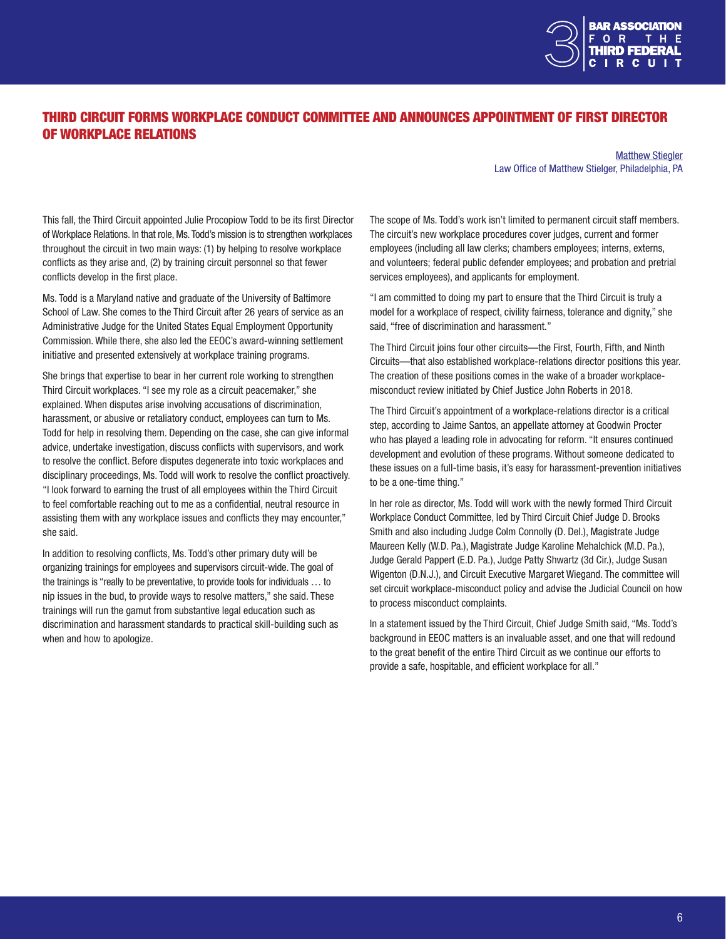

# <span id="page-5-0"></span>THIRD CIRCUIT FORMS WORKPLACE CONDUCT COMMITTEE AND ANNOUNCES APPOINTMENT OF FIRST DIRECTOR OF WORKPLACE RELATIONS

**[Matthew Stiegler](http://www.stieglerlaw.com/attorney-profile.html)** Law Office of Matthew Stielger, Philadelphia, PA

This fall, the Third Circuit appointed Julie Procopiow Todd to be its first Director of Workplace Relations. In that role, Ms. Todd's mission is to strengthen workplaces throughout the circuit in two main ways: (1) by helping to resolve workplace conflicts as they arise and, (2) by training circuit personnel so that fewer conflicts develop in the first place.

Ms. Todd is a Maryland native and graduate of the University of Baltimore School of Law. She comes to the Third Circuit after 26 years of service as an Administrative Judge for the United States Equal Employment Opportunity Commission. While there, she also led the EEOC's award-winning settlement initiative and presented extensively at workplace training programs.

She brings that expertise to bear in her current role working to strengthen Third Circuit workplaces. "I see my role as a circuit peacemaker," she explained. When disputes arise involving accusations of discrimination, harassment, or abusive or retaliatory conduct, employees can turn to Ms. Todd for help in resolving them. Depending on the case, she can give informal advice, undertake investigation, discuss conflicts with supervisors, and work to resolve the conflict. Before disputes degenerate into toxic workplaces and disciplinary proceedings, Ms. Todd will work to resolve the conflict proactively. "I look forward to earning the trust of all employees within the Third Circuit to feel comfortable reaching out to me as a confidential, neutral resource in assisting them with any workplace issues and conflicts they may encounter," she said.

In addition to resolving conflicts, Ms. Todd's other primary duty will be organizing trainings for employees and supervisors circuit-wide. The goal of the trainings is "really to be preventative, to provide tools for individuals … to nip issues in the bud, to provide ways to resolve matters," she said. These trainings will run the gamut from substantive legal education such as discrimination and harassment standards to practical skill-building such as when and how to apologize.

The scope of Ms. Todd's work isn't limited to permanent circuit staff members. The circuit's new workplace procedures cover judges, current and former employees (including all law clerks; chambers employees; interns, externs, and volunteers; federal public defender employees; and probation and pretrial services employees), and applicants for employment.

"I am committed to doing my part to ensure that the Third Circuit is truly a model for a workplace of respect, civility fairness, tolerance and dignity," she said, "free of discrimination and harassment."

The Third Circuit joins four other circuits—the First, Fourth, Fifth, and Ninth Circuits—that also established workplace-relations director positions this year. The creation of these positions comes in the wake of a broader workplacemisconduct review initiated by Chief Justice John Roberts in 2018.

The Third Circuit's appointment of a workplace-relations director is a critical step, according to Jaime Santos, an appellate attorney at Goodwin Procter who has played a leading role in advocating for reform. "It ensures continued development and evolution of these programs. Without someone dedicated to these issues on a full-time basis, it's easy for harassment-prevention initiatives to be a one-time thing."

In her role as director, Ms. Todd will work with the newly formed Third Circuit Workplace Conduct Committee, led by Third Circuit Chief Judge D. Brooks Smith and also including Judge Colm Connolly (D. Del.), Magistrate Judge Maureen Kelly (W.D. Pa.), Magistrate Judge Karoline Mehalchick (M.D. Pa.), Judge Gerald Pappert (E.D. Pa.), Judge Patty Shwartz (3d Cir.), Judge Susan Wigenton (D.N.J.), and Circuit Executive Margaret Wiegand. The committee will set circuit workplace-misconduct policy and advise the Judicial Council on how to process misconduct complaints.

In a statement issued by the Third Circuit, Chief Judge Smith said, "Ms. Todd's background in EEOC matters is an invaluable asset, and one that will redound to the great benefit of the entire Third Circuit as we continue our efforts to provide a safe, hospitable, and efficient workplace for all."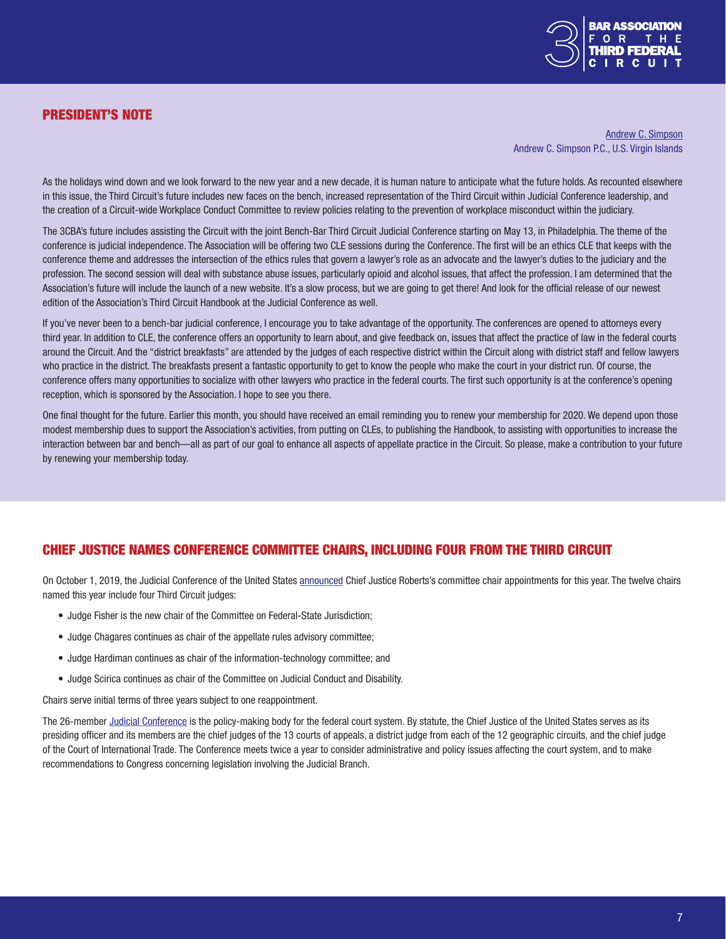# <span id="page-6-0"></span>PRESIDENT'S NOTE

[Andrew C. Simpson](https://www.coralbrief.com/About/Andrew-C-Simpson.shtml) Andrew C. Simpson P.C., U.S. Virgin Islands

As the holidays wind down and we look forward to the new year and a new decade, it is human nature to anticipate what the future holds. As recounted elsewhere in this issue, the Third Circuit's future includes new faces on the bench, increased representation of the Third Circuit within Judicial Conference leadership, and the creation of a Circuit-wide Workplace Conduct Committee to review policies relating to the prevention of workplace misconduct within the judiciary.

The 3CBA's future includes assisting the Circuit with the joint Bench-Bar Third Circuit Judicial Conference starting on May 13, in Philadelphia. The theme of the conference is judicial independence. The Association will be offering two CLE sessions during the Conference. The first will be an ethics CLE that keeps with the conference theme and addresses the intersection of the ethics rules that govern a lawyer's role as an advocate and the lawyer's duties to the judiciary and the profession. The second session will deal with substance abuse issues, particularly opioid and alcohol issues, that affect the profession. I am determined that the Association's future will include the launch of a new website. It's a slow process, but we are going to get there! And look for the official release of our newest edition of the Association's Third Circuit Handbook at the Judicial Conference as well.

If you've never been to a bench-bar judicial conference, I encourage you to take advantage of the opportunity. The conferences are opened to attorneys every third year. In addition to CLE, the conference offers an opportunity to learn about, and give feedback on, issues that affect the practice of law in the federal courts around the Circuit. And the "district breakfasts" are attended by the judges of each respective district within the Circuit along with district staff and fellow lawyers who practice in the district. The breakfasts present a fantastic opportunity to get to know the people who make the court in your district run. Of course, the conference offers many opportunities to socialize with other lawyers who practice in the federal courts. The first such opportunity is at the conference's opening reception, which is sponsored by the Association. I hope to see you there.

One final thought for the future. Earlier this month, you should have received an email reminding you to renew your membership for 2020. We depend upon those modest membership dues to support the Association's activities, from putting on CLEs, to publishing the Handbook, to assisting with opportunities to increase the interaction between bar and bench—all as part of our goal to enhance all aspects of appellate practice in the Circuit. So please, make a contribution to your future by renewing your membership today.

# CHIEF JUSTICE NAMES CONFERENCE COMMITTEE CHAIRS, INCLUDING FOUR FROM THE THIRD CIRCUIT

On October 1, 2019, the Judicial Conference of the United States [announced](https://www.uscourts.gov/news/2019/10/01/chief-justice-names-conference-committee-chairs?utm_campaign=usc-news&utm_medium=email&utm_source=govdelivery) Chief Justice Roberts's committee chair appointments for this year. The twelve chairs named this year include four Third Circuit judges:

- Judge Fisher is the new chair of the Committee on Federal-State Jurisdiction;
- Judge Chagares continues as chair of the appellate rules advisory committee;
- Judge Hardiman continues as chair of the information-technology committee; and
- Judge Scirica continues as chair of the Committee on Judicial Conduct and Disability.

Chairs serve initial terms of three years subject to one reappointment.

The 26-member [Judicial Conference](https://www.uscourts.gov/about-federal-courts/governance-judicial-conference/about-judicial-conference) is the policy-making body for the federal court system. By statute, the Chief Justice of the United States serves as its presiding officer and its members are the chief judges of the 13 courts of appeals, a district judge from each of the 12 geographic circuits, and the chief judge of the Court of International Trade. The Conference meets twice a year to consider administrative and policy issues affecting the court system, and to make recommendations to Congress concerning legislation involving the Judicial Branch.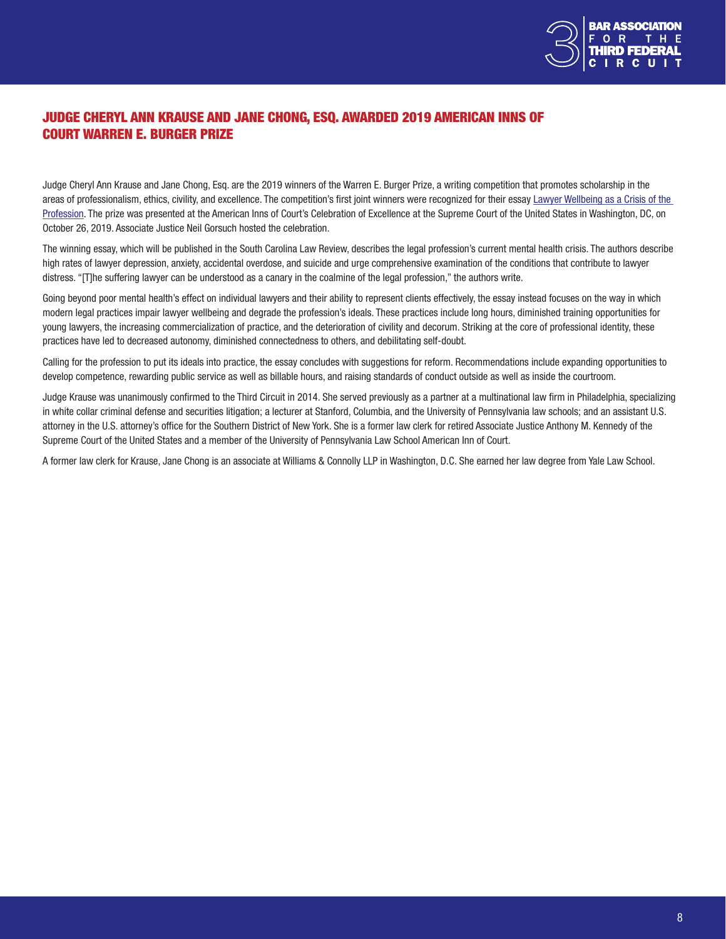

# <span id="page-7-0"></span>JUDGE CHERYL ANN KRAUSE AND JANE CHONG, ESQ. AWARDED 2019 AMERICAN INNS OF COURT WARREN E. BURGER PRIZE

Judge Cheryl Ann Krause and Jane Chong, Esq. are the 2019 winners of the Warren E. Burger Prize, a writing competition that promotes scholarship in the areas of professionalism, ethics, civility, and excellence. The competition's first joint winners were recognized for their essay Lawyer Wellbeing as a Crisis of the [Profession.](https://papers.ssrn.com/sol3/papers.cfm?abstract_id=3464992) The prize was presented at the American Inns of Court's Celebration of Excellence at the Supreme Court of the United States in Washington, DC, on October 26, 2019. Associate Justice Neil Gorsuch hosted the celebration.

The winning essay, which will be published in the South Carolina Law Review, describes the legal profession's current mental health crisis. The authors describe high rates of lawyer depression, anxiety, accidental overdose, and suicide and urge comprehensive examination of the conditions that contribute to lawyer distress. "[T]he suffering lawyer can be understood as a canary in the coalmine of the legal profession," the authors write.

Going beyond poor mental health's effect on individual lawyers and their ability to represent clients effectively, the essay instead focuses on the way in which modern legal practices impair lawyer wellbeing and degrade the profession's ideals. These practices include long hours, diminished training opportunities for young lawyers, the increasing commercialization of practice, and the deterioration of civility and decorum. Striking at the core of professional identity, these practices have led to decreased autonomy, diminished connectedness to others, and debilitating self-doubt.

Calling for the profession to put its ideals into practice, the essay concludes with suggestions for reform. Recommendations include expanding opportunities to develop competence, rewarding public service as well as billable hours, and raising standards of conduct outside as well as inside the courtroom.

Judge Krause was unanimously confirmed to the Third Circuit in 2014. She served previously as a partner at a multinational law firm in Philadelphia, specializing in white collar criminal defense and securities litigation; a lecturer at Stanford, Columbia, and the University of Pennsylvania law schools; and an assistant U.S. attorney in the U.S. attorney's office for the Southern District of New York. She is a former law clerk for retired Associate Justice Anthony M. Kennedy of the Supreme Court of the United States and a member of the University of Pennsylvania Law School American Inn of Court.

A former law clerk for Krause, Jane Chong is an associate at Williams & Connolly LLP in Washington, D.C. She earned her law degree from Yale Law School.